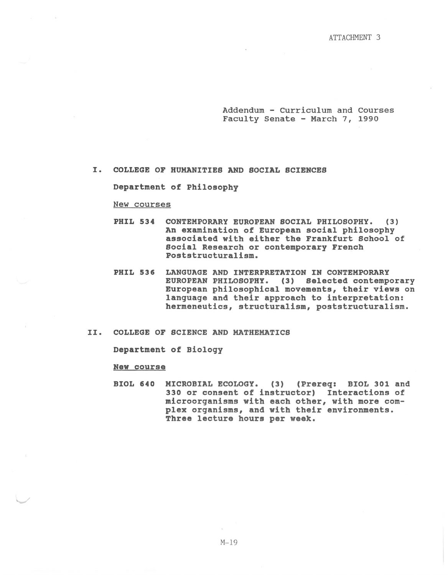Addendum - Curriculum and Courses Faculty Senate - March 7, 1990

## I. COLLEGE OF HUMANITIES AND SOCIAL SCIENCES

Department of Philosophy

## New courses

- PHIL 534 CONTEMPORARY EUROPEAN SOCIAL PHILOSOPHY. (3) An examination of European social philosophy associated with either the Frankfurt School of Social Research or contemporary French Poststructuralism.
- PHIL 536 LANGUAGE AND INTERPRETATION IN CONTEMPORARY EUROPEAN PHILOSOPHY. (3) Selected contemporary European philosophical movements, their views on language and their approach to interpretation: hermeneutics, structuralism, poststructuralism.
- II. COLLEGE OF SCIENCE AND MATHEMATICS

Department of Biology

## New course

BIOL 640 MICROBIAL ECOLOGY. (3) (Prereq: BIOL 301 and 330 or consent of instructor) Interactions of microorganisms with each other, with more complex organisms, and with their environments. Three lecture hours per week.